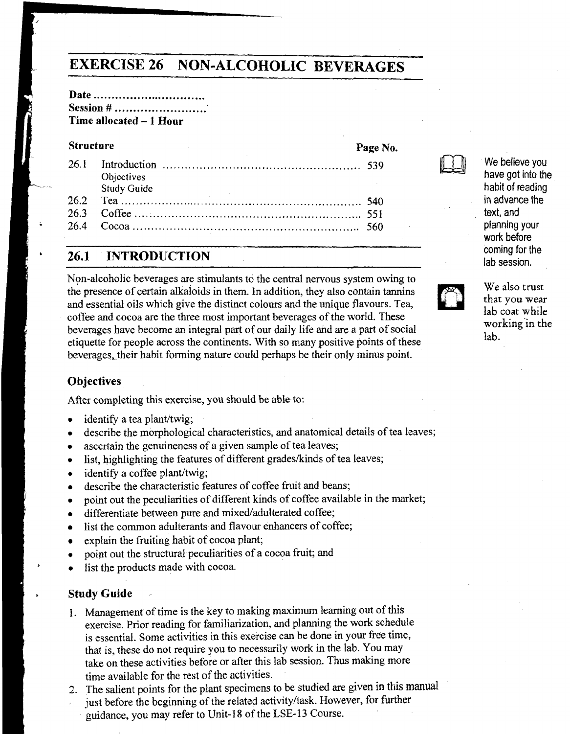# **EXERCISE 26 NON-ALCOHOLIC BEVERAGES**

#### **Date** ............................... **Session # ........................ Time allocated** - **1 Hour**

#### **Structure**

| Objectives<br><b>Study Guide</b> |  |
|----------------------------------|--|
|                                  |  |
|                                  |  |
|                                  |  |

# ' **26.1 INTRODUCTION**

Non-alcoholic beverages are stimulants to the central nervous system owing to the presence of certain alkaloids in them. In addition, they also contain tannins and essential oils which give the distinct colours and the unique flavours. Tea, coffee and cocoa are the three most important beverages of the world. These beverages have become an integral part of our daily life and are a part of social etiquette for people across the continents. With so many positive points of these beverages, their habit forming nature could perhaps be their only minus point.

#### **Objectives**

After completing this exercise, you should be able to:

- identify a tea plant/twig;  $\bullet$
- describe the morphological characteristics, and anatomical details of tea leaves;
- ascertain the genuineness of a given sample of tea leaves;  $\bullet$
- list, highlighting the features of different grades/kinds of tea leaves;  $\bullet$
- identify a coffee plant/twig;  $\bullet$
- describe the characteristic features of coffee fruit and beans;  $\bullet$
- point out the peculiarities of different kinds of coffee available in the market;  $\bullet$
- differentiate between pure and mixed/adulterated coffee;  $\bullet$
- list the common adulterants and flavour enhancers of coffee;  $\bullet$
- explain the fruiting habit of cocoa plant;
- point out the structural peculiarities of a cocoa fruit; and  $\bullet$
- list the products made with cocoa.

#### **Study Guide**

- 1. Management of time is the key to making maximum learning out of this exercise. Prior reading for familiarization, and planning the work schedule is essential. Some activities in this exercise can be done in your free time, that is, these do not require you to necessarily work in the lab. You may take on these activities before or after this lab session. Thus making more time available for the rest of the activities.
- 2. The salient points for the plant specimens to be studied are given in this manual just before the beginning of the related activityltask. However, for further guidance, you may refer to Unit-18 of the **LSE-13** Course.



**Page No.** 

We believe you have got into the habit of reading **in** advance the text, and planning your work before coming for the lab session.



We also trust **that** you wear lab coat while workingin **the**  lab.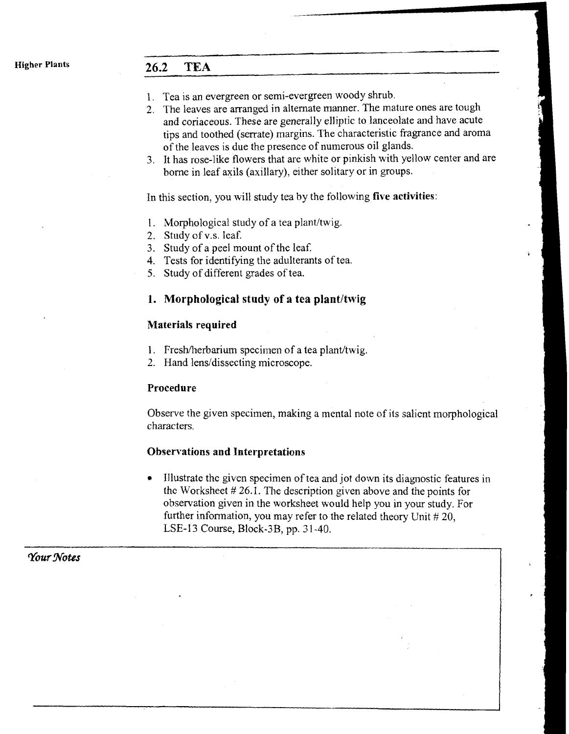# **Higher Plants 26.2 TEA**

- **1.** Tea is an evergreen or semi-evergreen woody shrub.
- 2. The leaves are arranged in alternate manner. The mature ones are tough and coriaceous. These are generally elliptic to lanceolate and have acute tips and toothed (serrate) margins. The characteristic fragrance and aroma of the leaves is due the presence of numerous oil glands.
- 3. It has rose-like flowers that are white or pinkish with yellow center and are borne in leaf axils (axillary), either solitary or in groups.

In this section, you will study tea by the following **five activities:** 

- 1. Morphological study of a tea plant/twig.
- 2. Study of v.s. leaf.
- 3. Study of a peel mount of the leaf.
- 4. Tests for identifying the adulterants of tea.
- **5.** Study of different grades of tea.

#### **1. Morphological study of a tea plant/twig**

#### **Materials required**

- 1. Fresh/herbarium specimen of a tea plant/twig.
- 2. Hand lens/dissecting microscope.

#### **Procedure**

Observe the given specimen, making a mental note of its salient morphological characters.

#### **Observations and Interpretations**

Illustrate the given specimen of tea and jot down its diagnostic features in the Worksheet  $# 26.1$ . The description given above and the points for observation given in the worksheet would help you in your study. For I further information, you may refer to the related theory Unit  $\sharp$  20, LSE-13 Course, Block-3B, pp. 3 1-40. !

**1** 

,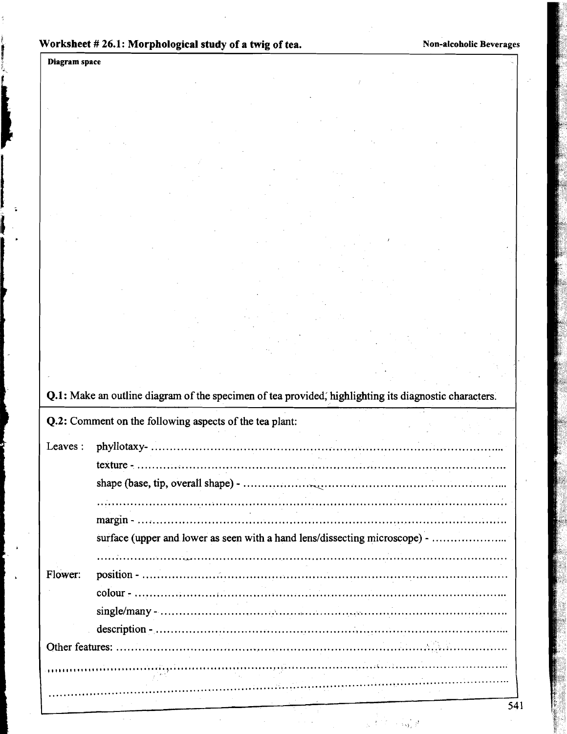Diagram space

 $\mathcal{L}$ 

ų,

|         | Q.2: Comment on the following aspects of the tea plant:                    |
|---------|----------------------------------------------------------------------------|
| Leaves: |                                                                            |
|         |                                                                            |
|         |                                                                            |
|         |                                                                            |
|         |                                                                            |
|         | surface (upper and lower as seen with a hand lens/dissecting microscope) - |
| Flower: |                                                                            |
|         |                                                                            |
|         |                                                                            |
|         |                                                                            |
|         |                                                                            |
|         |                                                                            |

 $\{ \omega_{l} \}$  ,  $l$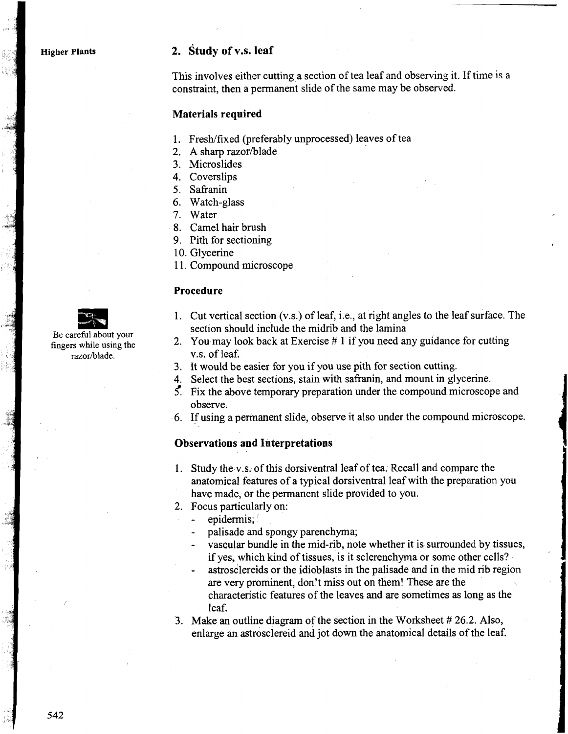**Higher Plants** 

#### **2. study of V.S. leaf**

This involves either cutting a section of tea leaf and observing it. If time is a constraint, then a permanent slide of the same may be observed.

#### **Materials required**

- 1. Fresh/fixed (preferably unprocessed) leaves of tea
- 2. A sharp razor/blade
- **3.** Microslides
- 4. Coverslips
- 5. Safranin
- 6. Watch-glass
- 7. Water
- 8. Camel hair brush
- 9. Pith for sectioning
- 10. Glycerine
- 11. Compound microscope

#### **Procedure**



Be careful about your fingers while using the razor/blade.

- 1. Cut vertical section (v.s.) of leaf, i.e., at right angles to the leaf surface. The section should include the midrib and the lamina
- *2.* You may look back at Exercise # 1 if you need any guidance for cutting V.S. of leaf.
- **3.** It would be easier for you if you use pith for section cutting.
- 4. Select the best sections, stain with safranin, and mount in glycerine.
- $\zeta$ . Fix the above temporary preparation under the compound microscope and observe.
- *6.* If using a permanent slide, observe it also under the compound microscope.

#### **Observations and Interpretations**

- 1. Study the V.S. of this dorsiventral leaf of tea. Recall and compare the anatomical features of a typical dorsiventral leaf with the preparation you have made, or the permanent slide provided to you.
- *2.* Focus particularly on:
	- epidermis;
	- palisade and spongy parenchyma;
	- vascular bundle in the mid-rib, note whether it is surrounded by tissues, if yes, which kind of tissues, is it sclerenchyma or some other cells?
	- astrosclereids or the idioblasts in the palisade and in the mid rib region are very prominent, don't miss our on them! These are the characteristic features of the leaves and are sometimes as long as the leaf.
- **3.** Make an outline diagram of the section in the Worksheet # *26.2.* Also, enlarge an astrosclereid and jot down the anatomical details of the leaf.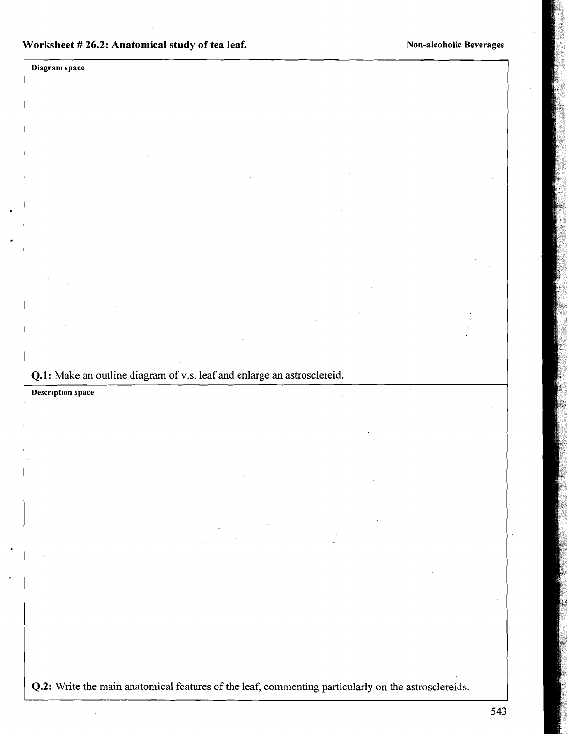Diagram space

**Q.l:** Make an outline diagram of V.S. leaf and enlarge an astrosclereid.

**Description space** 

**Q.2:** Write the main anatomical features of the leaf, commenting particularly on the astrosclereids.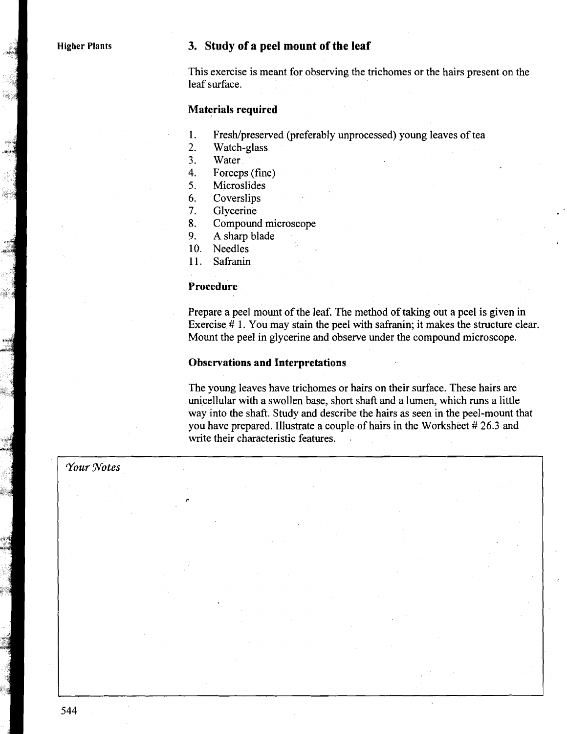#### **Higher Plants 3. Study of a peel mount of the leaf**

This exercise is meant for observing the trichomes or the hairs present on the leaf surface.

#### **Materials required**

- Fresh/preserved (preferably unprocessed) young leaves of tea 1.
- $\overline{2}$ . Watch-glass
- $3<sub>1</sub>$ Water
- 4. Forceps (fine)
- Microslides  $5<sub>1</sub>$
- 6. **Coverslips**
- $7.$ Glycerine
- Compound microscope 8.
- 9. **A** sharp blade
- $10<sub>1</sub>$ Needles
- Safranin  $11<sup>2</sup>$

#### **Procedure.**

**C** 

Prepare a peel mount of the leaf. The method of taking out a peel is given in Exercise # 1. You may stain the peel with safranin; it makes the structure clear. Mount the peel in glycerine and observe under the compound microscope.

#### **Observations and Interpretations**

The young leaves have trichomes or hairs on their surface. These hairs are unicellular with a swollen base, short shaft and a lumen, which runs a little way into the shaft. Study and describe the hairs as seen in the peel-mount that you have prepared. Illustrate a couple of hairs in the Worksheet # 26.3 and write their characteristic features.

#### *Your Wotes*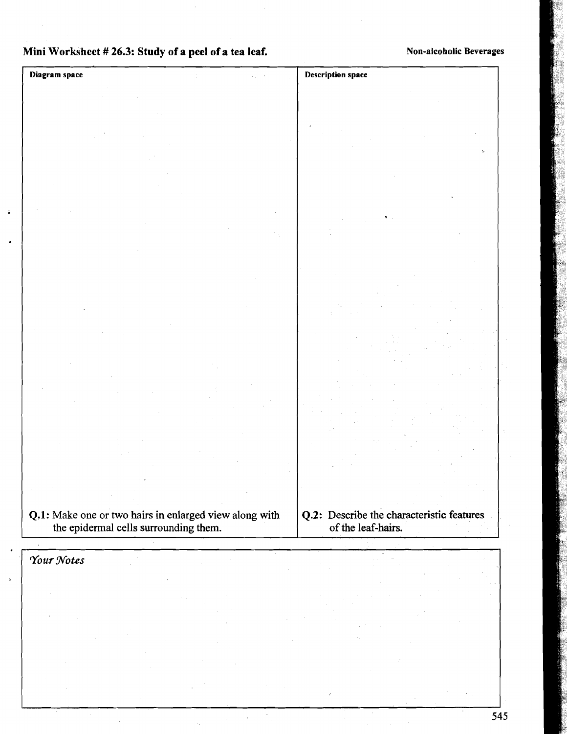# Mini Worksheet # 26.3: Study of a peel of a tea leaf. Non-alcoholic Beverages

| Diagram space |                                       |                                                        | <b>Description space</b>                  |
|---------------|---------------------------------------|--------------------------------------------------------|-------------------------------------------|
|               |                                       |                                                        |                                           |
|               |                                       |                                                        |                                           |
|               |                                       |                                                        |                                           |
|               |                                       |                                                        | $\mathbf{c}_i$                            |
|               |                                       |                                                        |                                           |
|               |                                       |                                                        |                                           |
|               |                                       |                                                        |                                           |
|               |                                       |                                                        |                                           |
|               |                                       |                                                        |                                           |
|               |                                       |                                                        |                                           |
|               |                                       |                                                        |                                           |
|               |                                       |                                                        |                                           |
|               |                                       |                                                        |                                           |
|               |                                       |                                                        |                                           |
|               |                                       |                                                        |                                           |
|               |                                       |                                                        |                                           |
|               |                                       |                                                        |                                           |
|               |                                       |                                                        |                                           |
|               |                                       |                                                        |                                           |
|               |                                       |                                                        |                                           |
|               |                                       |                                                        |                                           |
|               |                                       |                                                        |                                           |
|               |                                       |                                                        |                                           |
|               |                                       |                                                        |                                           |
|               |                                       | Q.1: Make one or two hairs in enlarged view along with | Q.2: Describe the characteristic features |
|               | the epidermal cells surrounding them. |                                                        | of the leaf-hairs.                        |
|               |                                       |                                                        |                                           |
| Your Notes    |                                       |                                                        |                                           |
|               |                                       |                                                        |                                           |
|               |                                       |                                                        |                                           |
|               |                                       |                                                        |                                           |
|               |                                       |                                                        |                                           |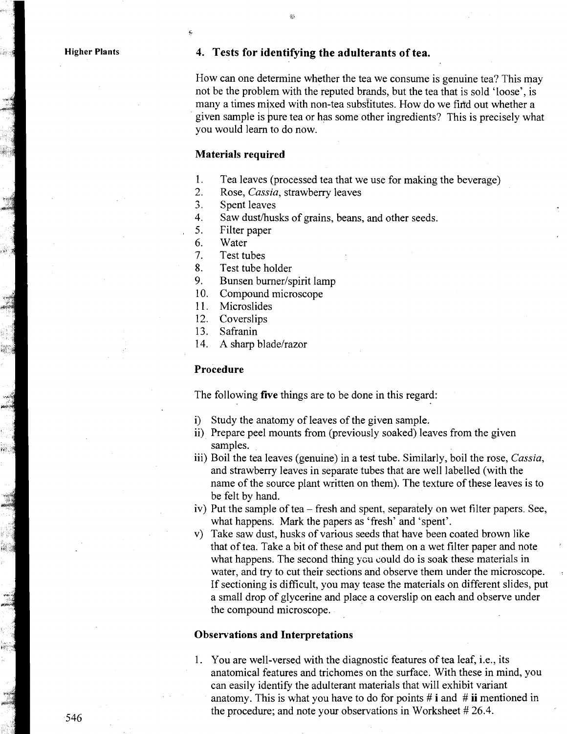**Higher Plants** 

#### **4. Tests for identifying the adulterants of tea.**

-.

How can one determine whether the tea we consume is genuine tea? This may not be the problem with the reputed brands, but the tea that is sold 'loose', is many a times mixed with non-tea substitutes. How do we find out whether a given sample is pure tea or has some other ingredients? This is precisely what you would learn to do now.

#### **Materials required**

**fr** 

- 1. Tea leaves (processed tea that we use for making the beverage)
- 2. Rose, Cassia, strawberry leaves
- 3. Spent leaves
- 4. Saw dust/husks of grains, beans, and other seeds.<br>5. Filter napper
- Filter paper
- 6. Water
- Test tubes  $7<sub>1</sub>$
- 8. Test tube holder
- 9. Bunsen burner/spirit lamp
- 10. Compound microscope
- $11<sub>1</sub>$ Microslides
- 12. Coverslips
- 13. Safranin
- 14. A sharp blade/razor

#### **Procedure**

The following **five** things are to be done in this regard:

- i) Study the anatomy of leaves of the given sample.
- ii) Prepare peel mounts from (previously soaked) leaves from the given samples.
- iii) Boil the tea leaves (genuine) in a test tube. Similarly, boil the rose, Cassia, and strawberry leaves in separate tubes that are well labelled (with the name of the source plant written on them). The texture of these leaves is to be felt by hand.
- iv) Put the sample of tea fresh and spent, separately on wet filter papers. See, what happens. Mark the papers as 'fresh' and 'spent'.
- v) Take saw dust, husks of various seeds that have been coated brown like that of tea. Take a bit of these and put them on a wet filter paper and note ' what happens. The second thing you could do is soak these materials in water, and try to cut their sections and observe them under the microscope. If sectioning is difficult, you may tease the materials on different slides, put a small drop of glycerine and place a coverslip on each and observe under the compound microscope.

#### **Observations and Interpretations**

1. You are well-versed with the diagnostic features of tea leaf, i.e., its anatomical features and trichomes on the surface. With these in mind, you can easily identify the adulterant materials that will exhibit variant anatomy. This is what you have to do for points # **i** and # **ii** mentioned in the procedure; and note your observations in Worksheet # 26.4.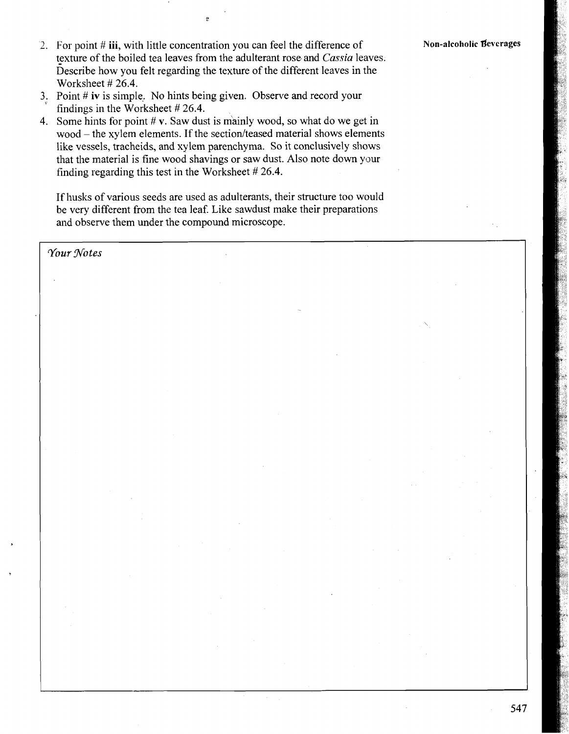547

- 2. For point # iii, with little concentration you can feel the difference of **Non-alcoholic Beverages** texture of the boiled tea leaves from the adulterant rose and **Cassia** leaves. Describe how you felt regarding the texture of the different leaves in the Worksheet # 26.4.
- 3. Point  $#$  iv is simple. No hints being given. Observe and record your findings in the Worksheet # 26.4.
- 4. Some hints for point  $\# v$ . Saw dust is mainly wood, so what do we get in  $wood - the xylem elements.$  If the section/teased material shows elements like vessels, tracheids, and xylem parenchyma. So it conclusively shows that the material is fine wood shavings or saw dust. Also note down your finding regarding this test in the Worksheet # 26.4.

If husks of various seeds are used as adulterants, their structure too would be very different from the tea leaf. Like sawdust make their preparations and observe them under the compound microscope.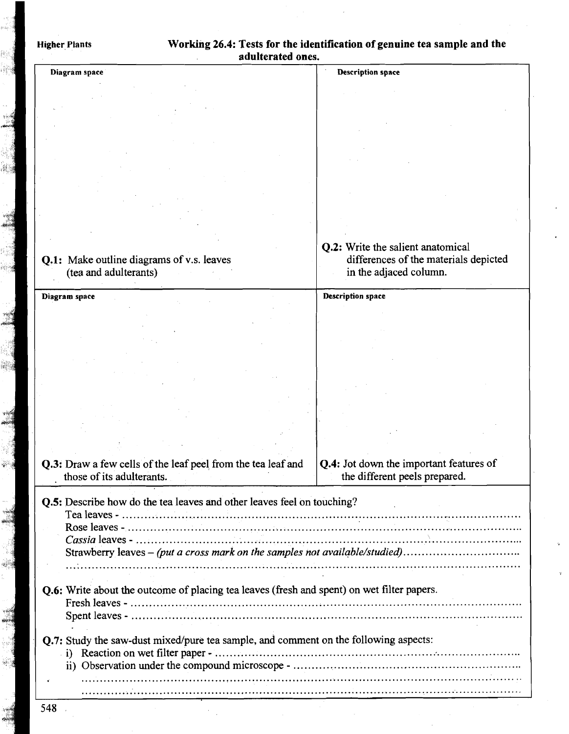|                                                                                                                                                        | adulterated ones.                                                                 |
|--------------------------------------------------------------------------------------------------------------------------------------------------------|-----------------------------------------------------------------------------------|
| Diagram space                                                                                                                                          | <b>Description space</b>                                                          |
|                                                                                                                                                        |                                                                                   |
|                                                                                                                                                        |                                                                                   |
|                                                                                                                                                        |                                                                                   |
|                                                                                                                                                        |                                                                                   |
|                                                                                                                                                        |                                                                                   |
|                                                                                                                                                        |                                                                                   |
|                                                                                                                                                        |                                                                                   |
|                                                                                                                                                        |                                                                                   |
|                                                                                                                                                        |                                                                                   |
|                                                                                                                                                        |                                                                                   |
|                                                                                                                                                        |                                                                                   |
|                                                                                                                                                        | <b>Q.2:</b> Write the salient anatomical<br>differences of the materials depicted |
| Q.1: Make outline diagrams of v.s. leaves<br>(tea and adulterants)                                                                                     | in the adjaced column.                                                            |
|                                                                                                                                                        |                                                                                   |
| Diagram space                                                                                                                                          | <b>Description space</b>                                                          |
|                                                                                                                                                        |                                                                                   |
|                                                                                                                                                        |                                                                                   |
|                                                                                                                                                        |                                                                                   |
|                                                                                                                                                        |                                                                                   |
|                                                                                                                                                        |                                                                                   |
|                                                                                                                                                        |                                                                                   |
|                                                                                                                                                        |                                                                                   |
|                                                                                                                                                        |                                                                                   |
|                                                                                                                                                        |                                                                                   |
|                                                                                                                                                        |                                                                                   |
| Q.3: Draw a few cells of the leaf peel from the tea leaf and                                                                                           | Q.4: Jot down the important features of                                           |
| those of its adulterants.                                                                                                                              | the different peels prepared.                                                     |
|                                                                                                                                                        |                                                                                   |
| Q.5: Describe how do the tea leaves and other leaves feel on touching?                                                                                 |                                                                                   |
|                                                                                                                                                        |                                                                                   |
| Cassia leaves - $\ldots$ $\ldots$ $\ldots$ $\ldots$ $\ldots$ $\ldots$ $\ldots$ $\ldots$ $\ldots$ $\ldots$ $\ldots$ $\ldots$ $\ldots$ $\ldots$ $\ldots$ |                                                                                   |
| Strawberry leaves - (put a cross mark on the samples not available/studied)                                                                            |                                                                                   |
|                                                                                                                                                        |                                                                                   |
|                                                                                                                                                        |                                                                                   |
| <b>Q.6:</b> Write about the outcome of placing tea leaves (fresh and spent) on wet filter papers.                                                      |                                                                                   |
|                                                                                                                                                        |                                                                                   |
|                                                                                                                                                        |                                                                                   |
| <b>Q.7:</b> Study the saw-dust mixed/pure tea sample, and comment on the following aspects:                                                            |                                                                                   |
|                                                                                                                                                        |                                                                                   |
|                                                                                                                                                        |                                                                                   |
|                                                                                                                                                        |                                                                                   |

i<br>Santa<br>Cipang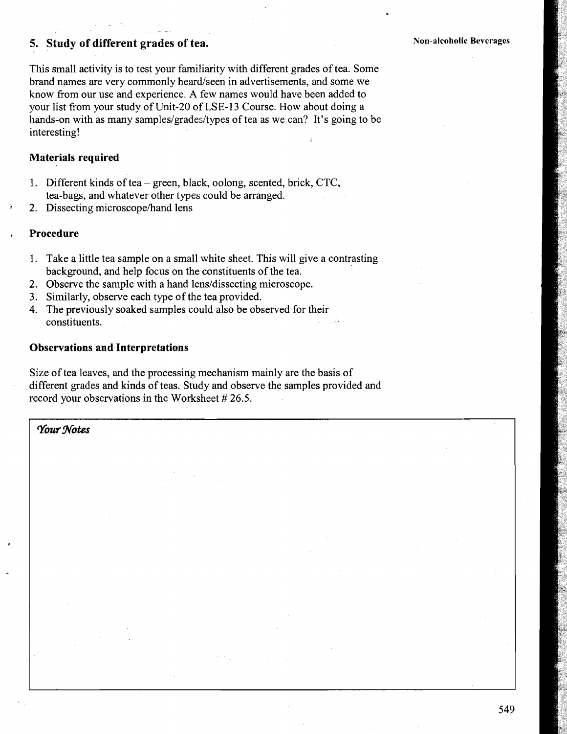# **5. Study of different grades of tea.**

.<br>. . . . . . .

**Non-alcoholic Beverages** 

This small activity is to test your familiarity with different grades of tea. Some brand names are very commonly heard/seen in advertisements, and some we know from our use and experience. **A** few names would have been added to your list from your study of Unit-20 of LSE- 13 Course. How about doing a hands-on with as many samples/grades/types of tea as we can? It's going to be interesting!

#### **Materials required**

- 1. Different kinds of tea green, black, oolong, scented, brick, CTC, tea-bags, and whatever other types could be arranged.
- 2. Dissecting microscope/hand lens

#### **Procedure**

- 1. Take a little tea sample on a small white sheet. This will give a contrasting background, and help focus on the constituents of the tea.
- 2. Observe the sample with a hand lens/dissecting microscope.
- 3. Similarly, observe each type of the tea provided.
- 4. The previously soaked samples could also be observed for their constituents.

#### **Observations and Interpretations**

Size of tea leaves, and the processing mechanism mainly are the basis of different grades and kinds of teas. Study and observe the samples provided and record your observations in the Worksheet # 26.5.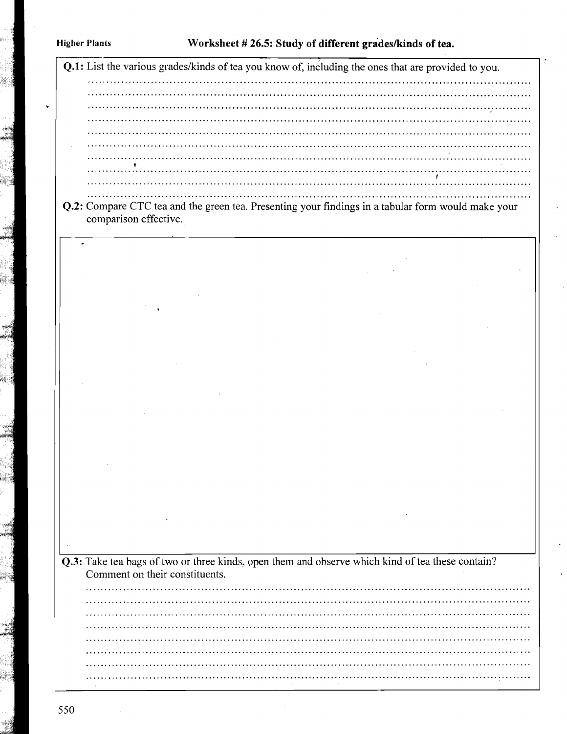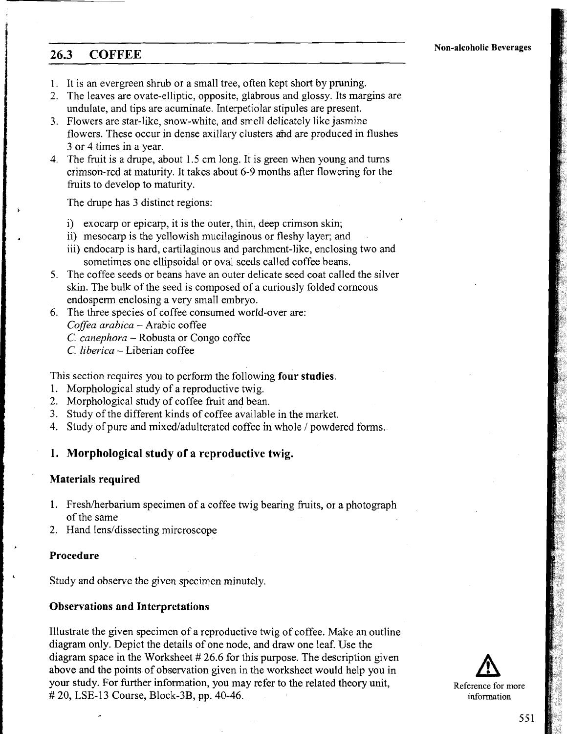# **26.3 COFFEE Non-alcoholic Beverages**

>

- 1. It is an evergreen shrub or a small tree, often kept short by pruning.
- 2. The leaves are ovate-elliptic, opposite, glabrous and glossy. Its margins are undulate, and tips are acuminate. hterpetiolar stipules are present.
- 3. Flowers are star-like, snow-white, and smell delicately like jasmine flowers. These occur in dense axillary clusters and are produced in flushes 3 or 4 times in a year.
- 4. The fruit is a drupe, about 1.5 cm long. It is green when young and turns crimson-red at maturity. It takes about 6-9 months after flowering for the fruits to develop to maturity.

The drupe has 3 distinct regions:

- i) exocarp or epicarp, it is the outer, thin, deep crimson skin;
- ii) mesocarp is the yellowish mucilaginous or fleshy layer; and
- iii) endocarp is hard, cartilaginous and parchment-like, enclosing two and sometimes one ellipsoidal or oval seeds called coffee beans.
- 5. The coffee seeds or beans have an outer delicate seed coat called the silver skin. The bulk of the seed is composed of a curiously folded corneous endosperm enclosing a very small embryo.
- 6. The three species of coffee consumed world-over are: *Coffea arabica* - Arabic coffee *C. canephora* - Robusta or Congo coffee
	- *C. Iiberica*  Liberian coffee

This section requires you to perform the following **four studies.** 

- 1. Morphological study of a reproductive twig.
- 2. Morphological study of coffee fruit and bean.
- 3. Study of the different kinds of coffee available in the market.
- 4. Study of pure and mixed/adulterated coffee in whole / powdered forms.

#### **1. Morphological study of a reproductive twig.**

#### **Materials required**

- 1. Freshherbarium specimen of a coffee twig bearing fruits, or a photograph of the same
- 2. Hand lens/dissecting mircroscope

#### **Procedure**

Study and observe the given specimen minutely.

#### **Observations and Interpretations**

Illustrate the given specimen of a reproductive twig of coffee. Make an outline diagram only. Depict the details of one node, and draw one leaf. Use the diagram space in the Worksheet # 26.6 for this purpose. The description given above and the points of observation given in the worksheet would help you in your study. For further information, you may refer to the related theory unit, Reference for more  $\# 20$ , LSE-13 Course, Block-3B, pp. 40-46. Information

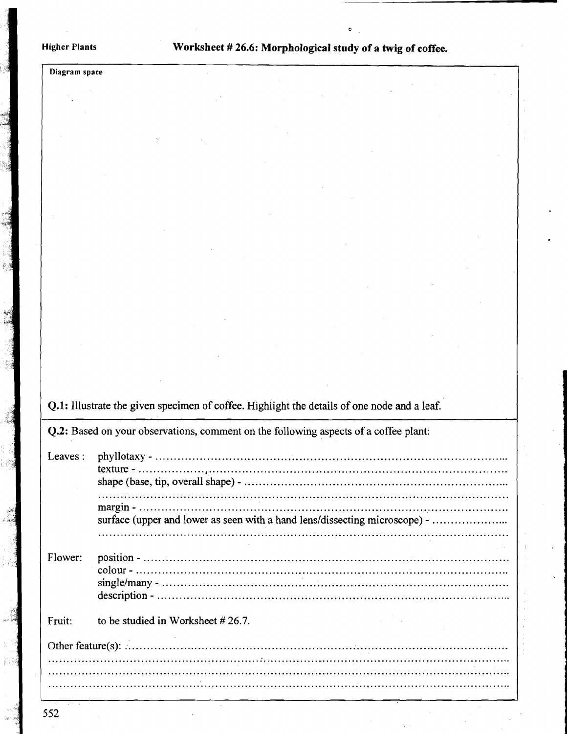#### **Higher Plants**

Worksheet #26.6: Morphological study of a twig of coffee.

Diagram space

Q.1: Illustrate the given specimen of coffee. Highlight the details of one node and a leaf.

Q.2: Based on your observations, comment on the following aspects of a coffee plant:

| Leaves: |                                                                            |
|---------|----------------------------------------------------------------------------|
|         | surface (upper and lower as seen with a hand lens/dissecting microscope) - |
|         |                                                                            |
| Flower: |                                                                            |
| Fruit:  | to be studied in Worksheet #26.7.                                          |
|         |                                                                            |
|         |                                                                            |
|         |                                                                            |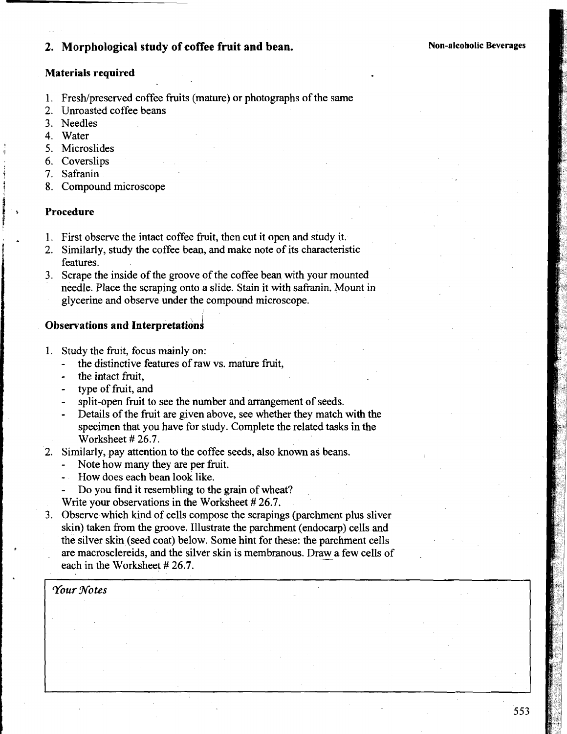# **2. Morphological study of coffee fruit and bean.** Non-alcoholic Beverages

#### **Materials required**

- 1. Fresh/preserved coffee fruits (mature) or photographs of the same
- **2.** Unroasted coffee beans
- 3. Needles
- 
- 4. Water<br>5. Microslides
- **6.** Coverslips
- 7. Safranin
- 8. Compound microscope

#### 1 **i Procedure**

**1** 

- 1. First observe the intact coffee fruit, then cut it open and study it.
- 2. Similarly, study the coffee bean, and make note of its characteristic features.
- 3. Scrape the inside of the groove of the coffee bean with your mounted needle. Place the scraping onto a slide. Stain it with safranin. Mount in glycerine and observe under the compound microscope.

#### **Observations and Interpretations**

- 1. Study the fruit, focus mainly on:
	- the distinctive features of raw vs. mature fruit,
	- the intact fruit,
	- type of fruit, and
	- split-open fruit to see the number and arrangement of seeds.
	- Details of the fruit are given above, see whether they match with the specimen that you have for study. Complete the related tasks in the Worksheet # **26.7.**
- **2.** Similarly, pay attention to the coffee seeds, also known as beans.
	- Note how many they are per fruit.
	- How does each bean look like.
	- Do you find it resembling to the grain of wheat?
	- Write your observations in the Worksheet # **26.7.**
- 3. Observe which kind of cells compose the scrapings (parchment plus sliver skin) taken from the groove. Illustrate the parchment (endocarp) cells and the silver skin (seed coat) below. Some hint for these: the parchment cells skin) taken from the groove. Illustrate the parchment (endocarp) cells and<br>the silver skin (seed coat) below. Some hint for these: the parchment cells<br>are macrosclereids, and the silver skin is membranous. Draw a few cell each in the Worksheet # **26.7.**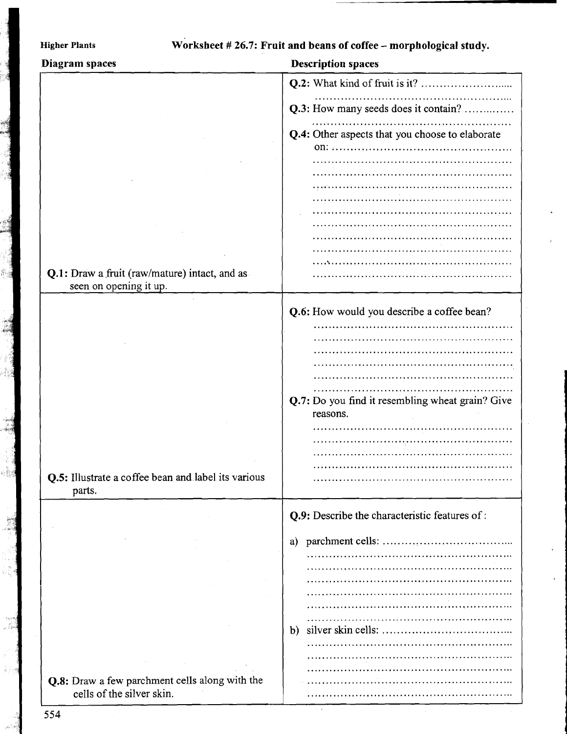| Diagram spaces                                                | <b>Description spaces</b>                                    |
|---------------------------------------------------------------|--------------------------------------------------------------|
|                                                               |                                                              |
|                                                               |                                                              |
|                                                               | Q.3: How many seeds does it contain?                         |
|                                                               | Q.4: Other aspects that you choose to elaborate              |
|                                                               | 01:                                                          |
|                                                               |                                                              |
|                                                               |                                                              |
|                                                               |                                                              |
|                                                               |                                                              |
|                                                               |                                                              |
|                                                               |                                                              |
|                                                               |                                                              |
|                                                               |                                                              |
| Q.1: Draw a fruit (raw/mature) intact, and as                 |                                                              |
| seen on opening it up.                                        |                                                              |
|                                                               |                                                              |
|                                                               | Q.6: How would you describe a coffee bean?                   |
|                                                               |                                                              |
|                                                               |                                                              |
|                                                               |                                                              |
|                                                               |                                                              |
|                                                               |                                                              |
|                                                               | Q.7: Do you find it resembling wheat grain? Give<br>reasons. |
|                                                               |                                                              |
|                                                               |                                                              |
|                                                               |                                                              |
|                                                               |                                                              |
| Q.5: Illustrate a coffee bean and label its various<br>parts. |                                                              |
|                                                               | Q.9: Describe the characteristic features of :               |
|                                                               | a)                                                           |
|                                                               |                                                              |
|                                                               |                                                              |
|                                                               |                                                              |
|                                                               |                                                              |
|                                                               |                                                              |
|                                                               | $\mathbf{b}$                                                 |
|                                                               |                                                              |
|                                                               |                                                              |
|                                                               |                                                              |
| Q.8: Draw a few parchment cells along with the                |                                                              |
| cells of the silver skin.                                     |                                                              |

554

ą 

i isk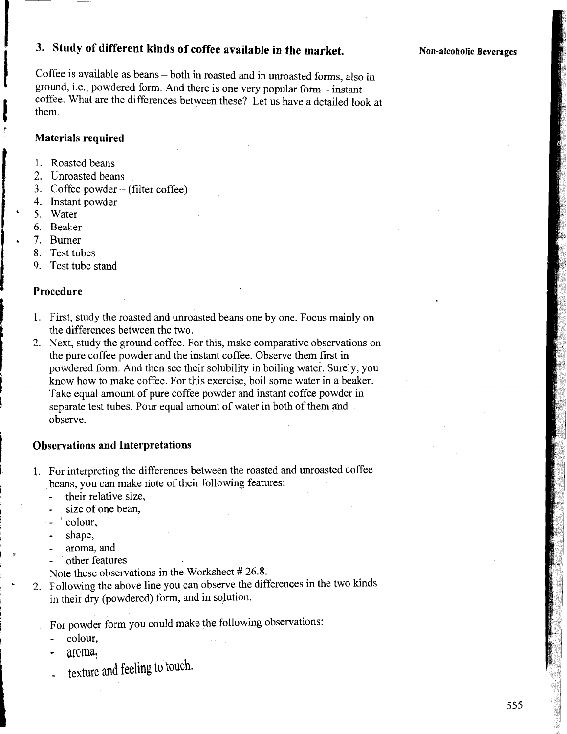# **3. Study of different kinds of coffee available in the market.**

Coffee is available as beans - both in roasted and in unroasted forms, also in ground, i.e., powdered form. And there is one very popular form - instant coffee. What are the differences between these? Let us have a detailed look at them.

#### **Materials required**

- 1. Roasted beans
- 2. Unroasted beans
- **3.** Coffee powder (filter coffee)
- 4. Instant powder
- 5. Water
- **6.** Beaker
- 7. Burner
- **8.** Test tubes
- **9.** Test tube stand

#### **Procedure**

- 1. First, study the roasted and unroasted beans one by one. Focus mainly on the differences between the two.
- 2. Next, study the ground coffee. For this, make comparative observations on the pure coffee powder and the instant coffee. Observe them first in powdered form. And then see their solubility in boiling water. Surely, you know how to make coffee. For this exercise, boil some water in a beaker. Take equal amount of pure coffee powder and instant coffee powder in separate test tubes. Pour equal amount of water in both of them and observe.

#### **Observations and Interpretations**

- 1. For interpreting the differences between the roasted and unroasted coffee beans, you can make note of their following features:
	- their relative size,
	- size of one bean,
	- $\alpha$  colour,
	- shape,
	- aroma, and
	- other features

Note these observations in the Worksheet # **26.8.** 

2. Following the above line you can observe the differences in the two kinds in their dry (powdered) form, and in solution.

For powder form you could make the following observations:

- colour,
- aroma,
- texture and feeling to touch.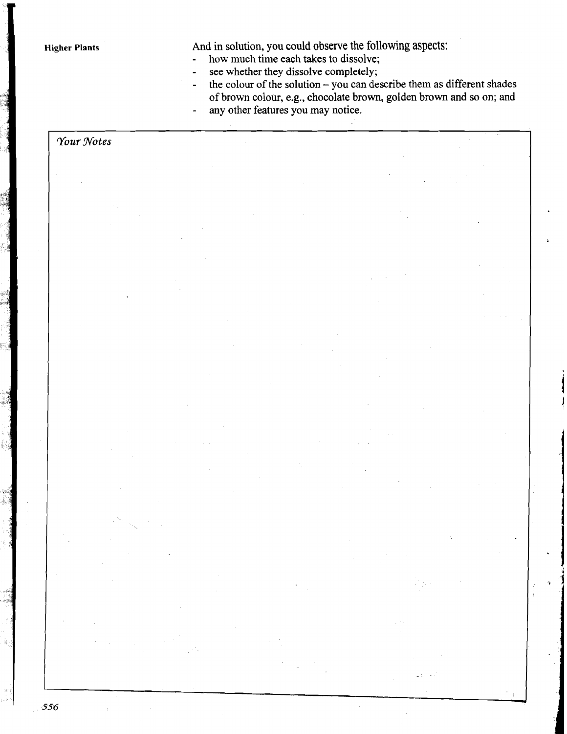**Higher Plants** 

And in solution, you could observe the following aspects:

how much time each takes to dissolve;  $\overline{a}$ 

- see whether they dissolve completely;  $\overline{a}$
- the colour of the solution  $-$  you can describe them as different shades  $\overline{a}$ of brown colour, e.g., chocolate brown, golden brown and so on; and
- any other features you may notice.  $\overline{a}$

### Your Notes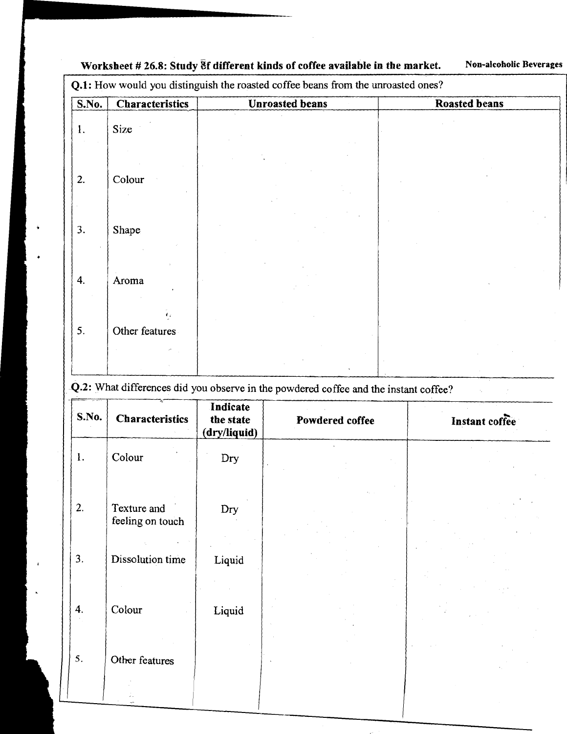**S.No. Characteristics Unroasted beans**  1. Size 2. Colour 3. Shape 4. Aroma **1,**  5. Other features **Roasted beans** 

Worksheet # 26.8: Study *Bf* different kinds of coffee available in the market. Non-alcoholic Beverages

**Q.1:** How would you distinguish the roasted coffee beans from the unroasted ones?

-4.2: What differences did you observe in the powdered coffee and the instant coffee? *C-* **<sup>C</sup>**

|              | <b>Characteristics</b>          | Indicate<br>the state<br>(dry/liquid) | Powdered coffee | Instant coffee |
|--------------|---------------------------------|---------------------------------------|-----------------|----------------|
| 1.           | Colour                          | Dry                                   |                 |                |
| 2.           | Texture and<br>feeling on touch | $\mathop{\rm Dry}\nolimits$           |                 |                |
| 3.           | Dissolution time                | Liquid                                |                 |                |
|              |                                 |                                       |                 |                |
| 4.<br>$\sim$ | Colour                          | Liquid                                | $\sim$          |                |
| 5.           | Other features                  |                                       |                 |                |
|              | $\mathbf{R}$                    |                                       |                 |                |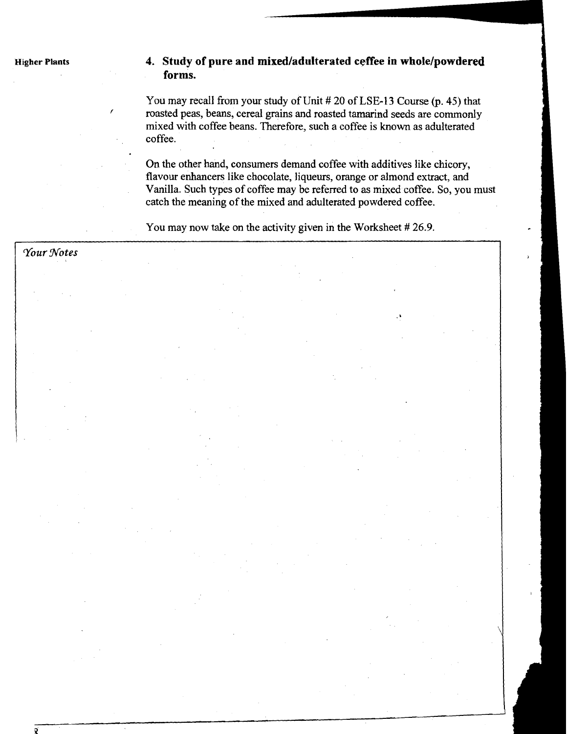### Higher Plants **4. Study of pure and mixed/adulterated ceffee in whole/powdered forms.**

You may recall from your study of Unit # 20 of LSE-13 Course (p. 45) that <sup>f</sup>roasted peas, beans, cereal grains and roasted tamarind seeds are commonly mixed with coffee beans. Therefore, such a coffee is known as adulterated coffee.

On the other hand, consumers demand coffee with additives like chicory, flavour enhancers like chocolate, liqueurs, orange or almond extract, and Vanilla. Such types of coffee may be referred to as mixed coffee. So, you must catch the meaning of the mixed and adulterated powdered coffee.

You may now take on the activity given in the Worksheet # 26.9.

| Your Notes |    |
|------------|----|
|            |    |
|            | ò, |
|            |    |
|            |    |
|            |    |
|            |    |
|            |    |
|            |    |
|            |    |
|            |    |
|            |    |
|            |    |
|            |    |
|            |    |
|            |    |
|            |    |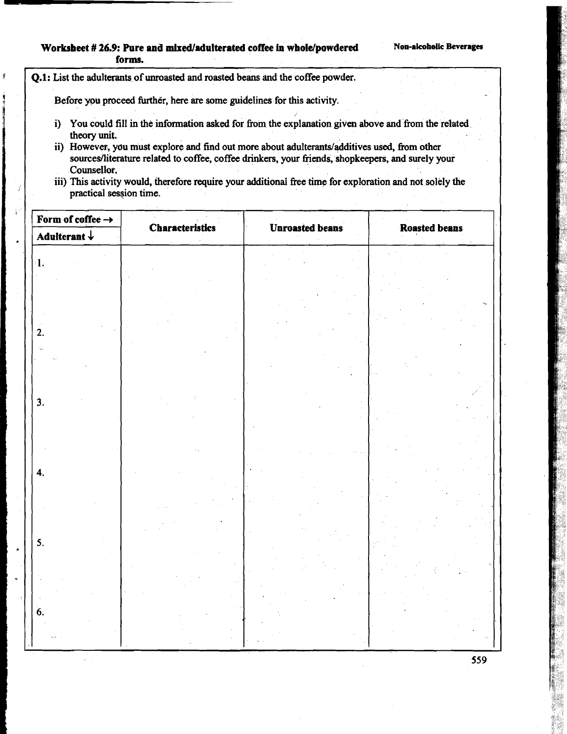#### Worksheet # 26.9: Pure and mixed/adulterated coffee in whole/powdered Non-alcoholic Beverages **forms.**

**Q.l:** List the adulterants of **unroasted** and roasted beans and the coffee powder.

**M** 

Before you proceed further, here are some guidelines for this activity.

- i) You could fill in the information asked for from the explanation **given** above and from the related theory unit.
- ii) However, you must explore and find out more about adulterants/additives used, from other sourcesfliterature related to coffee, coffee drinkers, your fiends, shopkeepers, and surely your Counseilor.
- iii) This activity would, therefore require your additional fiee time for exploration and not solely the practical session time.

| Form of coffee $\rightarrow$ |                        |                        |                      |
|------------------------------|------------------------|------------------------|----------------------|
| Adulterant $\downarrow$      | <b>Characteristics</b> | <b>Unroasted beans</b> | <b>Roasted beans</b> |
| $\mathbf{1}$ :               |                        |                        |                      |
| $\overline{2}$ .             |                        |                        |                      |
|                              |                        |                        |                      |
| 3.                           |                        |                        |                      |
| 4.                           |                        |                        |                      |
|                              |                        |                        |                      |
| 5.                           |                        |                        |                      |
| 6.                           |                        |                        |                      |
|                              |                        |                        |                      |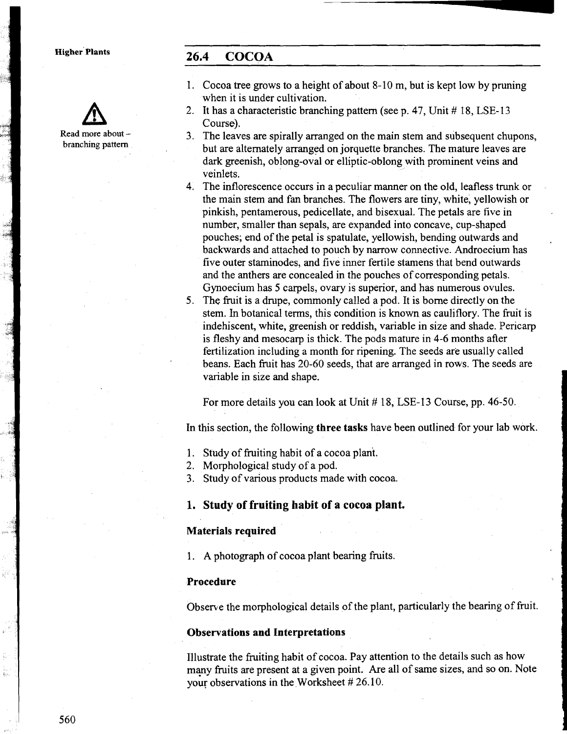Read more about branching pattern

# **~i~her' Plants 26.4 COCOA**

- 1. Cocoa tree grows to a height of about 8- 10 m, but is kept low by pruning when it is under cultivation.
- 2. It has a characteristic branching pattern (see p. 47, Unit # 18, LSE-13 Course).
- 3. The leaves are spirally arranged on the main stem and subsequent chupons, but are alternately arranged on jorquette branches. The mature leaves are dark greenish, oblong-oval or elliptic-oblong with prominent veins and veinlets.
- 4. The inflorescence occurs in a peculiar manner on the old, leafless trunk or the main stem and fan branches. The flowers are tiny, white, yellowish or pinkish, pentamerous, pedicellate, and bisexual. The petals are five in number, smaller than sepals, are expanded into concave, cup-shaped pouches; end of the petal is spatulate, yellowish, bending outwards and backwards and attached to pouch by narrow connective. Androecium has five outer staminodes, and five inner fertile stamens that bend outwards and the anthers are concealed in the pouches of corresponding petals. Gynoecium has **5** carpels, ovary is superior, and has numerous ovules.
- 5, The fruit is a drupe, commonly called a pod. It is borne directly on the stem. In botanical terms, this condition is known as cauliflory. The fruit is indehiscent, white, greenish or reddish, variable in size and shade. Pericarp is fleshy and mesocarp is thick. The pods mature in 4-6 months after fertilization including a month for ripening. The seeds are usually called beans. Each fruit has 20-60 seeds, that are arranged in rows. The seeds are variable in size and shape.

For more details you can look at Unit #18, LSE-13 Course, pp. 46-50.

In this section, the following **three tasks** have been outlined for your lab work.

- 1. Study of fruiting habit of a cocoa plan't.
- 2. Morphological study of a pod.
- **3.** Study of various products made with cocoa.

**1. Study of fruiting habit of a cocoa plant.** 

#### **Materials required**

1. **A** photograph of cocoa plant bearing fruits.

#### **Procedure**

Observe the morphological details of the plant, particularly the bearing of fruit.

#### **Observations and Interpretations**

lllustrate the fruiting habit of cocoa. Pay attention to the details such as how many fruits are present at a given point. Are all of same sizes, and so on. Note your observations in the Worksheet # 26.10.

in<br>Ge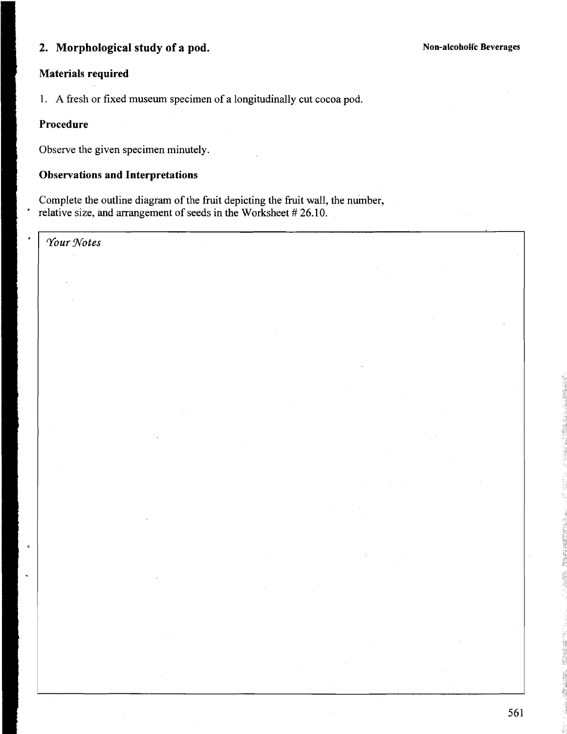# **2. Morphological study of a pod.**

# **Materials required**

1. A fresh or fixed museum specimen of a longitudinally cut cocoa pod.

#### **Procedure**

Observe the given specimen minutely.

## **Observations and Interpretations**

Complete the outline diagram of the fruit depicting the fruit wall, the number, relative size, and arrangement of seeds in the Worksheet  $#26.10$ .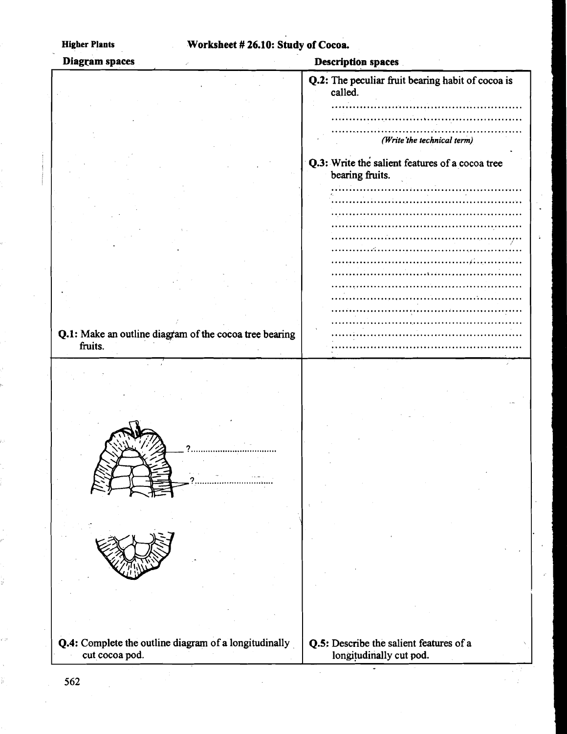# **Higher Plants Worksheet** # 26.10: **Study of Cocoa**

| Diagram spaces                                         | <b>Description spaces</b>                                          |
|--------------------------------------------------------|--------------------------------------------------------------------|
|                                                        | Q.2: The peculiar fruit bearing habit of cocoa is<br>called.       |
|                                                        |                                                                    |
|                                                        |                                                                    |
|                                                        | (Write the technical term)                                         |
|                                                        | Q.3: Write the salient features of a cocoa tree<br>bearing fruits. |
|                                                        |                                                                    |
|                                                        |                                                                    |
|                                                        |                                                                    |
|                                                        |                                                                    |
|                                                        |                                                                    |
|                                                        |                                                                    |
|                                                        |                                                                    |
|                                                        |                                                                    |
|                                                        |                                                                    |
|                                                        |                                                                    |
|                                                        |                                                                    |
|                                                        |                                                                    |
|                                                        |                                                                    |
| Q.1: Make an outline diagram of the cocoa tree bearing |                                                                    |
| fruits.                                                |                                                                    |
|                                                        |                                                                    |
|                                                        |                                                                    |
|                                                        |                                                                    |
|                                                        |                                                                    |
|                                                        |                                                                    |
|                                                        |                                                                    |
|                                                        |                                                                    |
|                                                        |                                                                    |
|                                                        |                                                                    |
|                                                        |                                                                    |
|                                                        |                                                                    |
|                                                        |                                                                    |
|                                                        |                                                                    |
|                                                        |                                                                    |
|                                                        |                                                                    |
|                                                        |                                                                    |
|                                                        |                                                                    |
|                                                        |                                                                    |
|                                                        |                                                                    |
|                                                        |                                                                    |
|                                                        |                                                                    |
|                                                        |                                                                    |
|                                                        |                                                                    |
|                                                        |                                                                    |
|                                                        |                                                                    |
| Q.4: Complete the outline diagram of a longitudinally  | Q.5: Describe the salient features of a                            |
| cut cocoa pod.                                         | longitudinally cut pod.                                            |
|                                                        |                                                                    |

.

562

j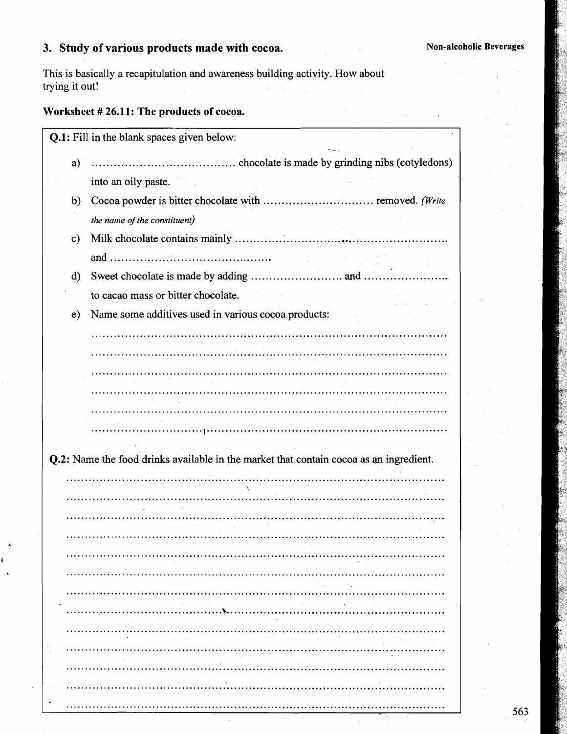# **3. Study of various products made with cocoa.** Non-alcoholic Beverages

This is basically a recapitulation and awareness building activity. How about trying it out!

# **Worksheet** # **26.11: The products of cocoa.**

|               | Q.1: Fill in the blank spaces given below:                                             |  |
|---------------|----------------------------------------------------------------------------------------|--|
| a)            |                                                                                        |  |
|               | into an oily paste.                                                                    |  |
| b)            |                                                                                        |  |
|               | the name of the constituent)                                                           |  |
| $\mathbf{c}$  |                                                                                        |  |
|               |                                                                                        |  |
| $\mathbf{d}$  |                                                                                        |  |
|               | to cacao mass or bitter chocolate.                                                     |  |
| $\mathbf{e})$ | Name some additives used in various cocoa products:                                    |  |
|               |                                                                                        |  |
|               |                                                                                        |  |
|               |                                                                                        |  |
|               |                                                                                        |  |
|               |                                                                                        |  |
|               |                                                                                        |  |
|               | Q.2: Name the food drinks available in the market that contain cocoa as an ingredient. |  |
|               |                                                                                        |  |
|               |                                                                                        |  |
|               |                                                                                        |  |
|               |                                                                                        |  |
|               |                                                                                        |  |
|               |                                                                                        |  |
|               |                                                                                        |  |
|               |                                                                                        |  |
|               |                                                                                        |  |
|               |                                                                                        |  |
|               |                                                                                        |  |
|               |                                                                                        |  |
|               |                                                                                        |  |
|               |                                                                                        |  |